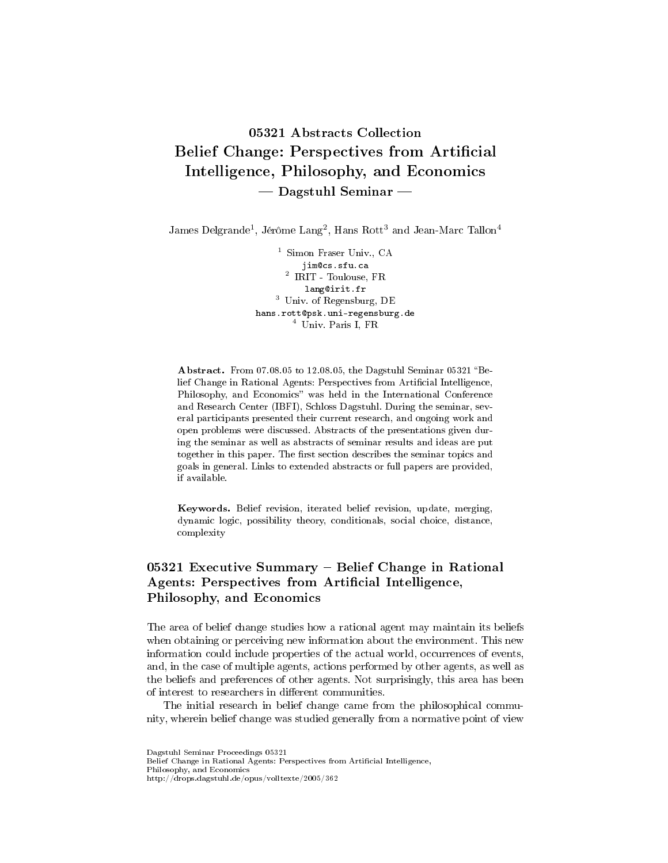# 05321 Abstracts Collection Belief Change: Perspectives from Artificial Intelligence, Philosophy, and Economics  $-$  Dagstuhl Seminar  $-$

James Delgrande<sup>1</sup>, Jérôme Lang<sup>2</sup>, Hans Rott<sup>3</sup> and Jean-Marc Tallon<sup>4</sup>

<sup>1</sup> Simon Fraser Univ., CA jim@cs.sfu.ca 2 IRIT - Toulouse, FR lang@irit.fr <sup>3</sup> Univ. of Regensburg, DE hans.rott@psk.uni-regensburg.de <sup>4</sup> Univ. Paris I, FR

Abstract. From 07.08.05 to 12.08.05, the Dagstuhl Seminar 05321 "Belief Change in Rational Agents: Perspectives from Artificial Intelligence, Philosophy, and Economics" was held in the International Conference and Research Center (IBFI), Schloss Dagstuhl. During the seminar, several participants presented their current research, and ongoing work and open problems were discussed. Abstracts of the presentations given during the seminar as well as abstracts of seminar results and ideas are put together in this paper. The first section describes the seminar topics and goals in general. Links to extended abstracts or full papers are provided, if available.

Keywords. Belief revision, iterated belief revision, update, merging, dynamic logic, possibility theory, conditionals, social choice, distance, complexity

# 05321 Executive Summary  $-$  Belief Change in Rational Agents: Perspectives from Artificial Intelligence, Philosophy, and Economics

The area of belief change studies how a rational agent may maintain its beliefs when obtaining or perceiving new information about the environment. This new information could include properties of the actual world, occurrences of events, and, in the case of multiple agents, actions performed by other agents, as well as the beliefs and preferences of other agents. Not surprisingly, this area has been of interest to researchers in different communities.

The initial research in belief change came from the philosophical community, wherein belief change was studied generally from a normative point of view

Dagstuhl Seminar Proceedings 05321 Belief Change in Rational Agents: Perspectives from Artificial Intelligence, Philosophy, and Economics http://drops.dagstuhl.de/opus/volltexte/2005/362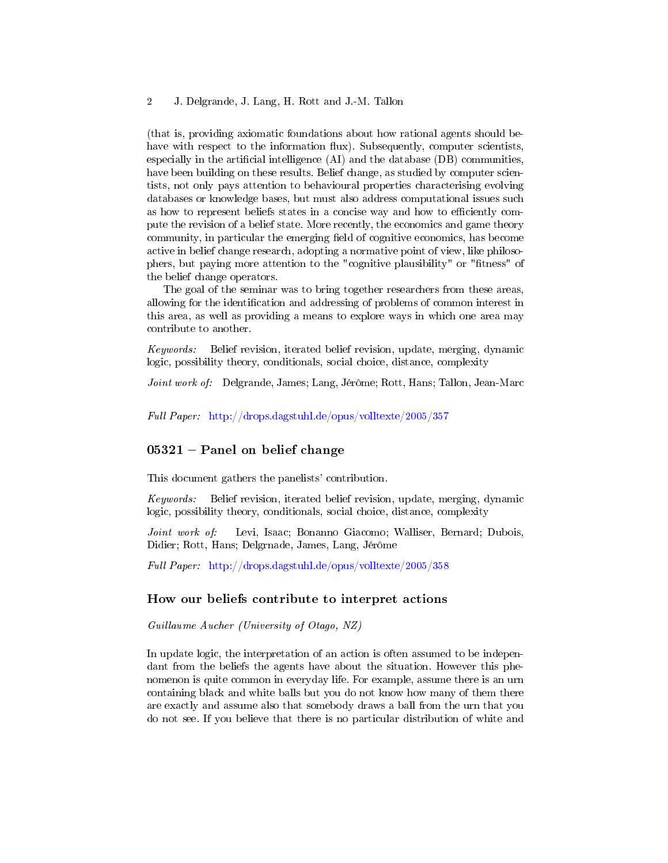(that is, providing axiomatic foundations about how rational agents should behave with respect to the information flux). Subsequently, computer scientists, especially in the artificial intelligence  $(AI)$  and the database  $(DB)$  communities, have been building on these results. Belief change, as studied by computer scientists, not only pays attention to behavioural properties characterising evolving databases or knowledge bases, but must also address computational issues such as how to represent beliefs states in a concise way and how to efficiently compute the revision of a belief state. More recently, the economics and game theory community, in particular the emerging field of cognitive economics, has become active in belief change research, adopting a normative point of view, like philosophers, but paying more attention to the "cognitive plausibility" or "fitness" of the belief change operators.

The goal of the seminar was to bring together researchers from these areas, allowing for the identification and addressing of problems of common interest in this area, as well as providing a means to explore ways in which one area may contribute to another.

Keywords: Belief revision, iterated belief revision, update, merging, dynamic logic, possibility theory, conditionals, social choice, distance, complexity

Joint work of: Delgrande, James; Lang, Jérôme; Rott, Hans; Tallon, Jean-Marc

Full Paper: <http://drops.dagstuhl.de/opus/volltexte/2005/357>

## $05321$  – Panel on belief change

This document gathers the panelists' contribution.

Keywords: Belief revision, iterated belief revision, update, merging, dynamic logic, possibility theory, conditionals, social choice, distance, complexity

Joint work of: Levi, Isaac; Bonanno Giacomo; Walliser, Bernard; Dubois, Didier; Rott, Hans; Delgrnade, James, Lang, Jérôme

Full Paper: <http://drops.dagstuhl.de/opus/volltexte/2005/358>

#### How our beliefs contribute to interpret actions

Guillaume Aucher (University of Otago, NZ)

In update logic, the interpretation of an action is often assumed to be independant from the beliefs the agents have about the situation. However this phenomenon is quite common in everyday life. For example, assume there is an urn containing black and white balls but you do not know how many of them there are exactly and assume also that somebody draws a ball from the urn that you do not see. If you believe that there is no particular distribution of white and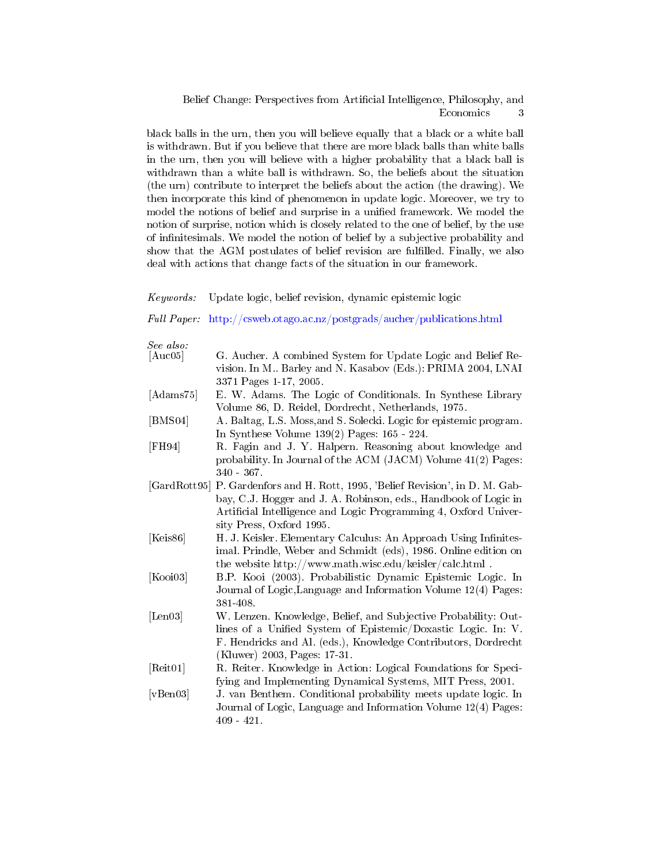black balls in the urn, then you will believe equally that a black or a white ball is withdrawn. But if you believe that there are more black balls than white balls in the urn, then you will believe with a higher probability that a black ball is withdrawn than a white ball is withdrawn. So, the beliefs about the situation (the urn) contribute to interpret the beliefs about the action (the drawing). We then incorporate this kind of phenomenon in update logic. Moreover, we try to model the notions of belief and surprise in a unified framework. We model the notion of surprise, notion which is closely related to the one of belief, by the use of infinitesimals. We model the notion of belief by a subjective probability and show that the AGM postulates of belief revision are fulfilled. Finally, we also deal with actions that change facts of the situation in our framework.

#### Keywords: Update logic, belief revision, dynamic epistemic logic

#### Full Paper: <http://csweb.otago.ac.nz/postgrads/aucher/publications.html>

See also:

| [Auc05]           | G. Aucher. A combined System for Update Logic and Belief Re-             |
|-------------------|--------------------------------------------------------------------------|
|                   | vision. In M Barley and N. Kasabov (Eds.): PRIMA 2004, LNAI              |
|                   | 3371 Pages 1-17, 2005.                                                   |
| [Adams75]         | E. W. Adams. The Logic of Conditionals. In Synthese Library              |
|                   | Volume 86, D. Reidel, Dordrecht, Netherlands, 1975.                      |
| [BMS04]           | A. Baltag, L.S. Moss, and S. Solecki. Logic for epistemic program.       |
|                   | In Synthese Volume $139(2)$ Pages: $165 - 224$ .                         |
| [FH94]            | R. Fagin and J. Y. Halpern. Reasoning about knowledge and                |
|                   | probability. In Journal of the ACM (JACM) Volume 41(2) Pages:            |
|                   | $340 - 367$ .                                                            |
| [ $GardRott95$ ]  | P. Gardenfors and H. Rott, 1995, 'Belief Revision', in D. M. Gab-        |
|                   | bay, C.J. Hogger and J. A. Robinson, eds., Handbook of Logic in          |
|                   | Artificial Intelligence and Logic Programming 4, Oxford Univer-          |
|                   | sity Press, Oxford 1995.                                                 |
| [Keis86]          | H. J. Keisler. Elementary Calculus: An Approach Using Infinites-         |
|                   | imal. Prindle, Weber and Schmidt (eds), 1986. Online edition on          |
|                   | the website $\frac{htp!}{\sqrt{w}w}$ ww.math.wisc.edu/keisler/calc.html. |
| [Kooi03]          | B.P. Kooi (2003). Probabilistic Dynamic Epistemic Logic. In              |
|                   | Journal of Logic, Language and Information Volume 12(4) Pages:           |
|                   | 381-408.                                                                 |
| [Len03]           | W. Lenzen. Knowledge, Belief, and Subjective Probability: Out-           |
|                   | lines of a Unified System of Epistemic/Doxastic Logic. In: V.            |
|                   | F. Hendricks and Al. (eds.), Knowledge Contributors, Dordrecht           |
|                   | (Kluwer) 2003, Pages: 17-31.                                             |
| [Reit01]          | R. Reiter. Knowledge in Action: Logical Foundations for Speci-           |
|                   | fying and Implementing Dynamical Systems, MIT Press, 2001.               |
| [ <b>v</b> Ben03] | J. van Benthem. Conditional probability meets update logic. In           |
|                   | Journal of Logic, Language and Information Volume 12(4) Pages:           |
|                   | $409 - 421.$                                                             |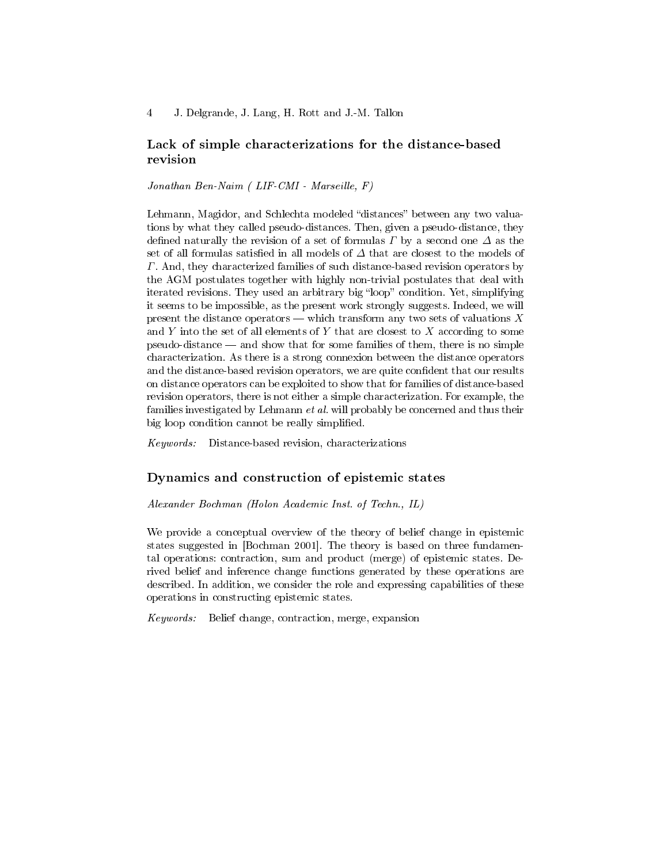## Lack of simple characterizations for the distance-based revision

#### Jonathan Ben-Naim ( LIF-CMI - Marseille, F)

Lehmann, Magidor, and Schlechta modeled "distances" between any two valuations by what they called pseudo-distances. Then, given a pseudo-distance, they defined naturally the revision of a set of formulas  $\Gamma$  by a second one  $\Delta$  as the set of all formulas satisfied in all models of  $\Delta$  that are closest to the models of Γ. And, they characterized families of such distance-based revision operators by the AGM postulates together with highly non-trivial postulates that deal with iterated revisions. They used an arbitrary big "loop" condition. Yet, simplifying it seems to be impossible, as the present work strongly suggests. Indeed, we will present the distance operators  $-\text{ which transform any two sets of valuations } X$ and Y into the set of all elements of Y that are closest to  $X$  according to some  $pseudo-distance$  and show that for some families of them, there is no simple characterization. As there is a strong connexion between the distance operators and the distance-based revision operators, we are quite confident that our results on distance operators can be exploited to show that for families of distance-based revision operators, there is not either a simple characterization. For example, the families investigated by Lehmann et al. will probably be concerned and thus their big loop condition cannot be really simplified.

Keywords: Distance-based revision, characterizations

#### Dynamics and construction of epistemic states

Alexander Bochman (Holon Academic Inst. of Techn., IL)

We provide a conceptual overview of the theory of belief change in epistemic states suggested in [Bochman 2001]. The theory is based on three fundamental operations: contraction, sum and product (merge) of epistemic states. Derived belief and inference change functions generated by these operations are described. In addition, we consider the role and expressing capabilities of these operations in constructing epistemic states.

Keywords: Belief change, contraction, merge, expansion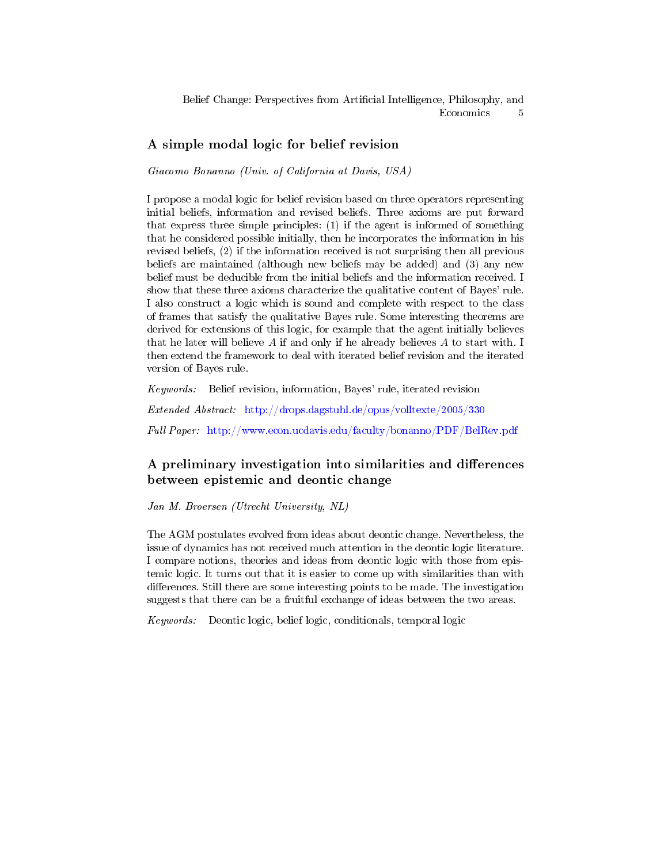## A simple modal logic for belief revision

Giacomo Bonanno (Univ. of California at Davis, USA)

I propose a modal logic for belief revision based on three operators representing initial beliefs, information and revised beliefs. Three axioms are put forward that express three simple principles: (1) if the agent is informed of something that he considered possible initially, then he incorporates the information in his revised beliefs, (2) if the information received is not surprising then all previous beliefs are maintained (although new beliefs may be added) and (3) any new belief must be deducible from the initial beliefs and the information received. I show that these three axioms characterize the qualitative content of Bayes' rule. I also construct a logic which is sound and complete with respect to the class of frames that satisfy the qualitative Bayes rule. Some interesting theorems are derived for extensions of this logic, for example that the agent initially believes that he later will believe  $A$  if and only if he already believes  $A$  to start with. I then extend the framework to deal with iterated belief revision and the iterated version of Bayes rule.

Keywords: Belief revision, information, Bayes' rule, iterated revision Extended Abstract: <http://drops.dagstuhl.de/opus/volltexte/2005/330> Full Paper: <http://www.econ.ucdavis.edu/faculty/bonanno/PDF/BelRev.pdf>

## A preliminary investigation into similarities and differences between epistemic and deontic change

Jan M. Broersen (Utrecht University, NL)

The AGM postulates evolved from ideas about deontic change. Nevertheless, the issue of dynamics has not received much attention in the deontic logic literature. I compare notions, theories and ideas from deontic logic with those from epistemic logic. It turns out that it is easier to come up with similarities than with differences. Still there are some interesting points to be made. The investigation suggests that there can be a fruitful exchange of ideas between the two areas.

Keywords: Deontic logic, belief logic, conditionals, temporal logic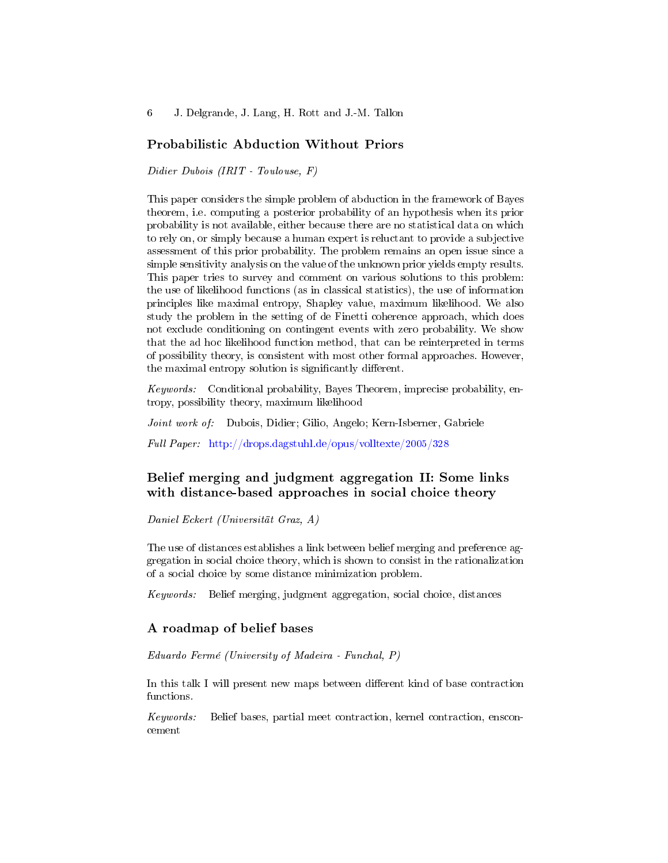## Probabilistic Abduction Without Priors

Didier Dubois (IRIT - Toulouse, F)

This paper considers the simple problem of abduction in the framework of Bayes theorem, i.e. computing a posterior probability of an hypothesis when its prior probability is not available, either because there are no statistical data on which to rely on, or simply because a human expert is reluctant to provide a subjective assessment of this prior probability. The problem remains an open issue since a simple sensitivity analysis on the value of the unknown prior yields empty results. This paper tries to survey and comment on various solutions to this problem: the use of likelihood functions (as in classical statistics), the use of information principles like maximal entropy, Shapley value, maximum likelihood. We also study the problem in the setting of de Finetti coherence approach, which does not exclude conditioning on contingent events with zero probability. We show that the ad hoc likelihood function method, that can be reinterpreted in terms of possibility theory, is consistent with most other formal approaches. However, the maximal entropy solution is significantly different.

Keywords: Conditional probability, Bayes Theorem, imprecise probability, entropy, possibility theory, maximum likelihood

Joint work of: Dubois, Didier; Gilio, Angelo; Kern-Isberner, Gabriele

Full Paper: <http://drops.dagstuhl.de/opus/volltexte/2005/328>

## Belief merging and judgment aggregation II: Some links with distance-based approaches in social choice theory

Daniel Eckert (Universität Graz, A)

The use of distances establishes a link between belief merging and preference aggregation in social choice theory, which is shown to consist in the rationalization of a social choice by some distance minimization problem.

Keywords: Belief merging, judgment aggregation, social choice, distances

## A roadmap of belief bases

Eduardo Fermé (University of Madeira - Funchal, P)

In this talk I will present new maps between different kind of base contraction functions.

Keywords: Belief bases, partial meet contraction, kernel contraction, ensconcement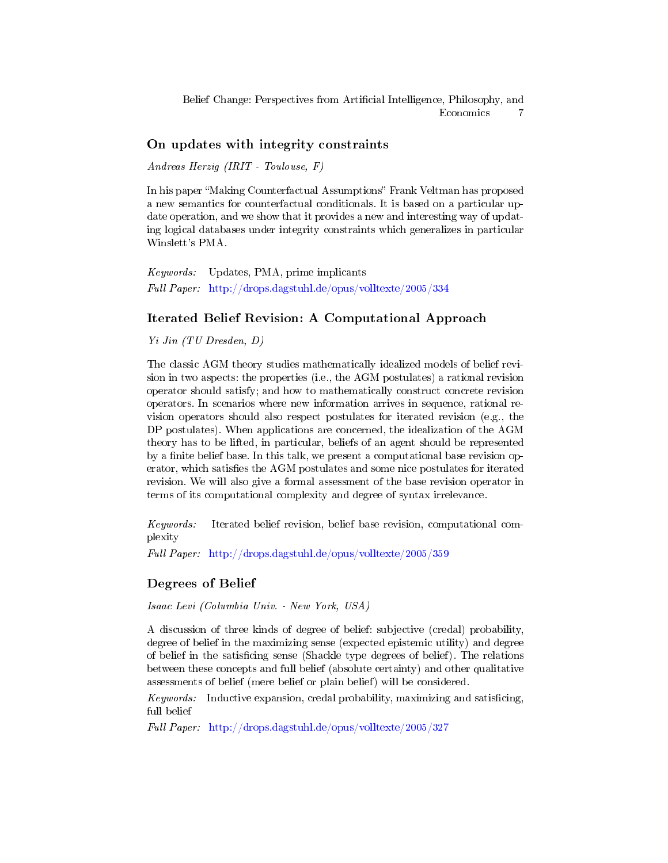## On updates with integrity constraints

Andreas Herzig (IRIT - Toulouse, F)

In his paper "Making Counterfactual Assumptions" Frank Veltman has proposed a new semantics for counterfactual conditionals. It is based on a particular update operation, and we show that it provides a new and interesting way of updating logical databases under integrity constraints which generalizes in particular Winslett's PMA.

Keywords: Updates, PMA, prime implicants Full Paper: <http://drops.dagstuhl.de/opus/volltexte/2005/334>

## Iterated Belief Revision: A Computational Approach

Yi Jin (TU Dresden, D)

The classic AGM theory studies mathematically idealized models of belief revision in two aspects: the properties (i.e., the AGM postulates) a rational revision operator should satisfy; and how to mathematically construct concrete revision operators. In scenarios where new information arrives in sequence, rational revision operators should also respect postulates for iterated revision (e.g., the DP postulates). When applications are concerned, the idealization of the AGM theory has to be lifted, in particular, beliefs of an agent should be represented by a finite belief base. In this talk, we present a computational base revision operator, which satisfies the AGM postulates and some nice postulates for iterated revision. We will also give a formal assessment of the base revision operator in terms of its computational complexity and degree of syntax irrelevance.

Keywords: Iterated belief revision, belief base revision, computational complexity

Full Paper: <http://drops.dagstuhl.de/opus/volltexte/2005/359>

## Degrees of Belief

Isaac Levi (Columbia Univ. - New York, USA)

A discussion of three kinds of degree of belief: subjective (credal) probability, degree of belief in the maximizing sense (expected epistemic utility) and degree of belief in the satiscing sense (Shackle type degrees of belief). The relations between these concepts and full belief (absolute certainty) and other qualitative assessments of belief (mere belief or plain belief) will be considered.

Keywords: Inductive expansion, credal probability, maximizing and satisficing, full belief

Full Paper: <http://drops.dagstuhl.de/opus/volltexte/2005/327>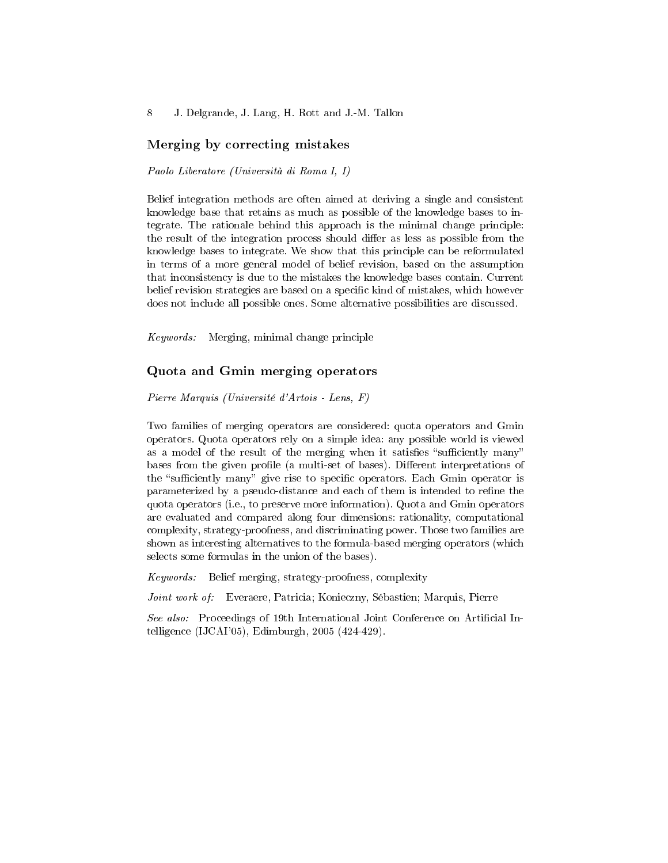## Merging by correcting mistakes

Paolo Liberatore (Università di Roma I, I)

Belief integration methods are often aimed at deriving a single and consistent knowledge base that retains as much as possible of the knowledge bases to integrate. The rationale behind this approach is the minimal change principle: the result of the integration process should differ as less as possible from the knowledge bases to integrate. We show that this principle can be reformulated in terms of a more general model of belief revision, based on the assumption that inconsistency is due to the mistakes the knowledge bases contain. Current belief revision strategies are based on a specific kind of mistakes, which however does not include all possible ones. Some alternative possibilities are discussed.

Keywords: Merging, minimal change principle

#### Quota and Gmin merging operators

Pierre Marquis (Université d'Artois - Lens, F)

Two families of merging operators are considered: quota operators and Gmin operators. Quota operators rely on a simple idea: any possible world is viewed as a model of the result of the merging when it satisfies "sufficiently many" bases from the given profile (a multi-set of bases). Different interpretations of the "sufficiently many" give rise to specific operators. Each Gmin operator is parameterized by a pseudo-distance and each of them is intended to refine the quota operators (i.e., to preserve more information). Quota and Gmin operators are evaluated and compared along four dimensions: rationality, computational complexity, strategy-proofness, and discriminating power. Those two families are shown as interesting alternatives to the formula-based merging operators (which selects some formulas in the union of the bases).

Keywords: Belief merging, strategy-proofness, complexity

Joint work of: Everaere, Patricia; Konieczny, Sébastien; Marquis, Pierre

See also: Proceedings of 19th International Joint Conference on Artificial Intelligence (IJCAI'05), Edimburgh, 2005 (424-429).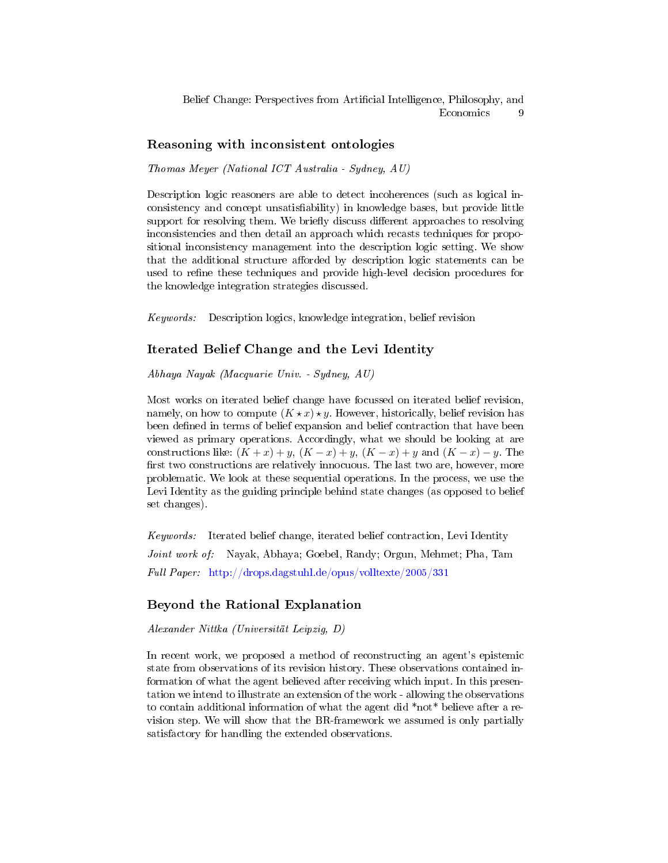#### Reasoning with inconsistent ontologies

Thomas Meyer (National ICT Australia - Sydney, AU)

Description logic reasoners are able to detect incoherences (such as logical inconsistency and concept unsatisfiability) in knowledge bases, but provide little support for resolving them. We briefly discuss different approaches to resolving inconsistencies and then detail an approach which recasts techniques for propositional inconsistency management into the description logic setting. We show that the additional structure afforded by description logic statements can be used to refine these techniques and provide high-level decision procedures for the knowledge integration strategies discussed.

Keywords: Description logics, knowledge integration, belief revision

#### Iterated Belief Change and the Levi Identity

Abhaya Nayak (Macquarie Univ. - Sydney, AU)

Most works on iterated belief change have focussed on iterated belief revision, namely, on how to compute  $(K \star x) \star y$ . However, historically, belief revision has been defined in terms of belief expansion and belief contraction that have been viewed as primary operations. Accordingly, what we should be looking at are constructions like:  $(K+x)+y$ ,  $(K-x)+y$ ,  $(K-x)+y$  and  $(K-x)-y$ . The first two constructions are relatively innocuous. The last two are, however, more problematic. We look at these sequential operations. In the process, we use the Levi Identity as the guiding principle behind state changes (as opposed to belief set changes).

Keywords: Iterated belief change, iterated belief contraction, Levi Identity Joint work of: Nayak, Abhaya; Goebel, Randy; Orgun, Mehmet; Pha, Tam Full Paper: <http://drops.dagstuhl.de/opus/volltexte/2005/331>

#### Beyond the Rational Explanation

Alexander Nittka (Universität Leipzig, D)

In recent work, we proposed a method of reconstructing an agent's epistemic state from observations of its revision history. These observations contained information of what the agent believed after receiving which input. In this presentation we intend to illustrate an extension of the work - allowing the observations to contain additional information of what the agent did \*not\* believe after a revision step. We will show that the BR-framework we assumed is only partially satisfactory for handling the extended observations.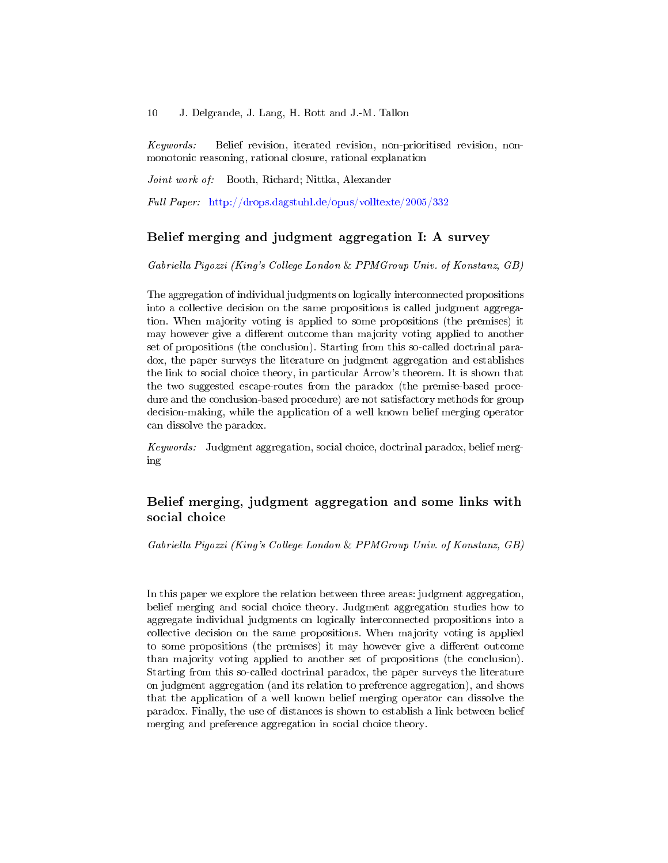Keywords: Belief revision, iterated revision, non-prioritised revision, nonmonotonic reasoning, rational closure, rational explanation

Joint work of: Booth, Richard; Nittka, Alexander

Full Paper: <http://drops.dagstuhl.de/opus/volltexte/2005/332>

## Belief merging and judgment aggregation I: A survey

Gabriella Pigozzi (King's College London & PPMGroup Univ. of Konstanz, GB)

The aggregation of individual judgments on logically interconnected propositions into a collective decision on the same propositions is called judgment aggregation. When majority voting is applied to some propositions (the premises) it may however give a different outcome than majority voting applied to another set of propositions (the conclusion). Starting from this so-called doctrinal paradox, the paper surveys the literature on judgment aggregation and establishes the link to social choice theory, in particular Arrow's theorem. It is shown that the two suggested escape-routes from the paradox (the premise-based procedure and the conclusion-based procedure) are not satisfactory methods for group decision-making, while the application of a well known belief merging operator can dissolve the paradox.

Keywords: Judgment aggregation, social choice, doctrinal paradox, belief merging

# Belief merging, judgment aggregation and some links with social choice

Gabriella Pigozzi (King's College London & PPMGroup Univ. of Konstanz, GB)

In this paper we explore the relation between three areas: judgment aggregation, belief merging and social choice theory. Judgment aggregation studies how to aggregate individual judgments on logically interconnected propositions into a collective decision on the same propositions. When majority voting is applied to some propositions (the premises) it may however give a different outcome than majority voting applied to another set of propositions (the conclusion). Starting from this so-called doctrinal paradox, the paper surveys the literature on judgment aggregation (and its relation to preference aggregation), and shows that the application of a well known belief merging operator can dissolve the paradox. Finally, the use of distances is shown to establish a link between belief merging and preference aggregation in social choice theory.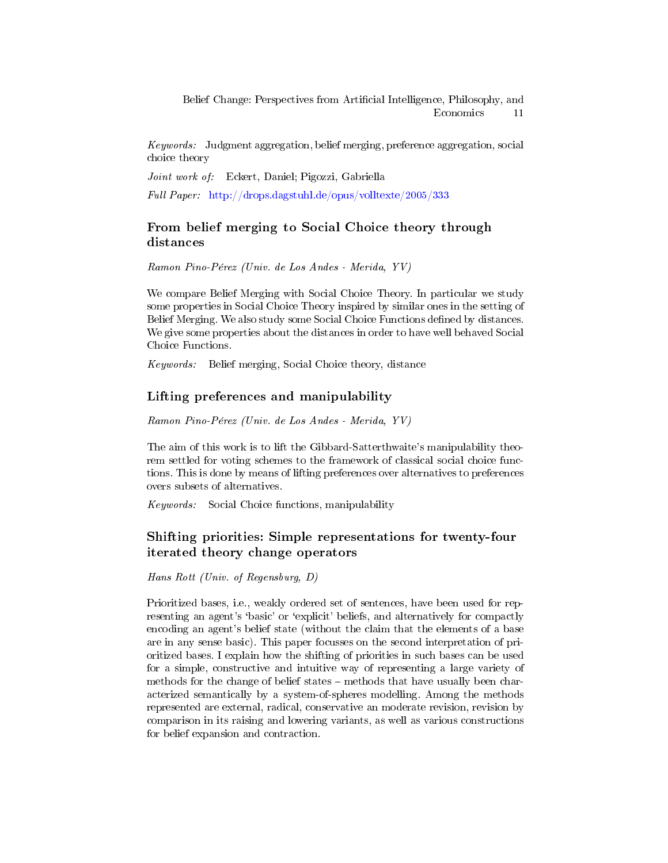Keywords: Judgment aggregation, belief merging, preference aggregation, social choice theory

Joint work of: Eckert, Daniel; Pigozzi, Gabriella

Full Paper: <http://drops.dagstuhl.de/opus/volltexte/2005/333>

# From belief merging to Social Choice theory through distances

Ramon Pino-Pérez (Univ. de Los Andes - Merida, YV)

We compare Belief Merging with Social Choice Theory. In particular we study some properties in Social Choice Theory inspired by similar ones in the setting of Belief Merging. We also study some Social Choice Functions defined by distances. We give some properties about the distances in order to have well behaved Social Choice Functions.

Keywords: Belief merging, Social Choice theory, distance

#### Lifting preferences and manipulability

Ramon Pino-Pérez (Univ. de Los Andes - Merida, YV)

The aim of this work is to lift the Gibbard-Satterthwaite's manipulability theorem settled for voting schemes to the framework of classical social choice functions. This is done by means of lifting preferences over alternatives to preferences overs subsets of alternatives.

Keywords: Social Choice functions, manipulability

# Shifting priorities: Simple representations for twenty-four iterated theory change operators

Hans Rott (Univ. of Regensburg, D)

Prioritized bases, i.e., weakly ordered set of sentences, have been used for representing an agent's `basic' or `explicit' beliefs, and alternatively for compactly encoding an agent's belief state (without the claim that the elements of a base are in any sense basic). This paper focusses on the second interpretation of prioritized bases. I explain how the shifting of priorities in such bases can be used for a simple, constructive and intuitive way of representing a large variety of methods for the change of belief states – methods that have usually been characterized semantically by a system-of-spheres modelling. Among the methods represented are external, radical, conservative an moderate revision, revision by comparison in its raising and lowering variants, as well as various constructions for belief expansion and contraction.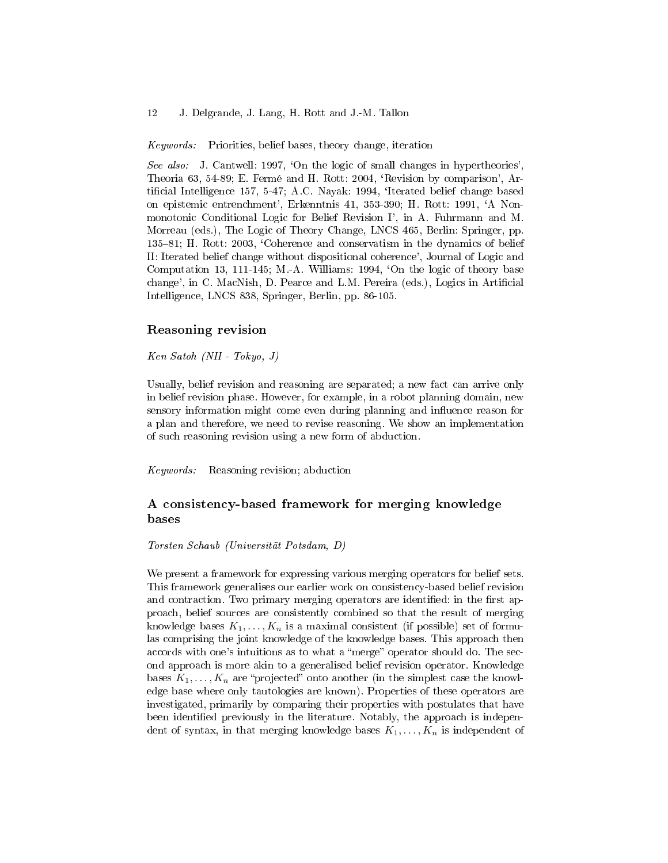Keywords: Priorities, belief bases, theory change, iteration

See also: J. Cantwell: 1997, 'On the logic of small changes in hypertheories', Theoria 63, 54-89; E. Fermé and H. Rott: 2004, 'Revision by comparison', Artificial Intelligence 157, 5-47; A.C. Nayak: 1994, 'Iterated belief change based on epistemic entrenchment', Erkenntnis 41, 353-390; H. Rott: 1991, `A Nonmonotonic Conditional Logic for Belief Revision I', in A. Fuhrmann and M. Morreau (eds.), The Logic of Theory Change, LNCS 465, Berlin: Springer, pp. 135–81; H. Rott: 2003, 'Coherence and conservatism in the dynamics of belief II: Iterated belief change without dispositional coherence', Journal of Logic and Computation 13, 111-145; M.-A. Williams: 1994, 'On the logic of theory base change', in C. MacNish, D. Pearce and L.M. Pereira (eds.), Logics in Artificial Intelligence, LNCS 838, Springer, Berlin, pp. 86-105.

#### Reasoning revision

Ken Satoh (NII - Tokyo, J)

Usually, belief revision and reasoning are separated; a new fact can arrive only in belief revision phase. However, for example, in a robot planning domain, new sensory information might come even during planning and influence reason for a plan and therefore, we need to revise reasoning. We show an implementation of such reasoning revision using a new form of abduction.

Keywords: Reasoning revision; abduction

## A consistency-based framework for merging knowledge bases

Torsten Schaub (Universität Potsdam, D)

We present a framework for expressing various merging operators for belief sets. This framework generalises our earlier work on consistency-based belief revision and contraction. Two primary merging operators are identified: in the first approach, belief sources are consistently combined so that the result of merging knowledge bases  $K_1, \ldots, K_n$  is a maximal consistent (if possible) set of formulas comprising the joint knowledge of the knowledge bases. This approach then accords with one's intuitions as to what a "merge" operator should do. The second approach is more akin to a generalised belief revision operator. Knowledge bases  $K_1, \ldots, K_n$  are "projected" onto another (in the simplest case the knowledge base where only tautologies are known). Properties of these operators are investigated, primarily by comparing their properties with postulates that have been identified previously in the literature. Notably, the approach is independent of syntax, in that merging knowledge bases  $K_1, \ldots, K_n$  is independent of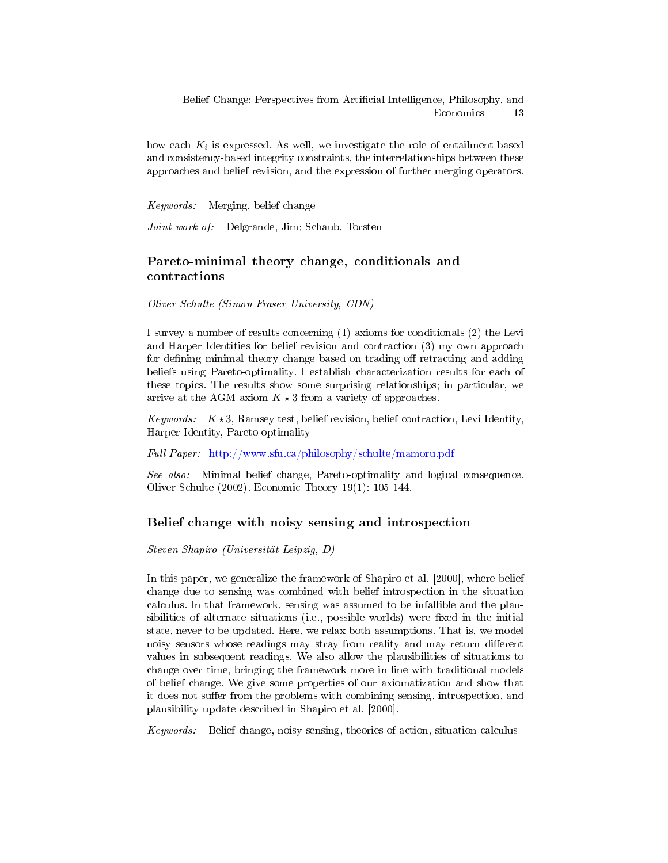how each  $K_i$  is expressed. As well, we investigate the role of entailment-based and consistency-based integrity constraints, the interrelationships between these approaches and belief revision, and the expression of further merging operators.

Keywords: Merging, belief change

Joint work of: Delgrande, Jim; Schaub, Torsten

# Pareto-minimal theory change, conditionals and contractions

Oliver Schulte (Simon Fraser University, CDN)

I survey a number of results concerning (1) axioms for conditionals (2) the Levi and Harper Identities for belief revision and contraction (3) my own approach for defining minimal theory change based on trading off retracting and adding beliefs using Pareto-optimality. I establish characterization results for each of these topics. The results show some surprising relationships; in particular, we arrive at the AGM axiom  $K \star 3$  from a variety of approaches.

Keywords:  $K \star 3$ , Ramsey test, belief revision, belief contraction, Levi Identity, Harper Identity, Pareto-optimality

Full Paper: <http://www.sfu.ca/philosophy/schulte/mamoru.pdf>

See also: Minimal belief change, Pareto-optimality and logical consequence. Oliver Schulte (2002). Economic Theory 19(1): 105-144.

#### Belief change with noisy sensing and introspection

Steven Shapiro (Universität Leipzig, D)

In this paper, we generalize the framework of Shapiro et al. [2000], where belief change due to sensing was combined with belief introspection in the situation calculus. In that framework, sensing was assumed to be infallible and the plausibilities of alternate situations (i.e., possible worlds) were fixed in the initial state, never to be updated. Here, we relax both assumptions. That is, we model noisy sensors whose readings may stray from reality and may return different values in subsequent readings. We also allow the plausibilities of situations to change over time, bringing the framework more in line with traditional models of belief change. We give some properties of our axiomatization and show that it does not suffer from the problems with combining sensing, introspection, and plausibility update described in Shapiro et al. [2000].

Keywords: Belief change, noisy sensing, theories of action, situation calculus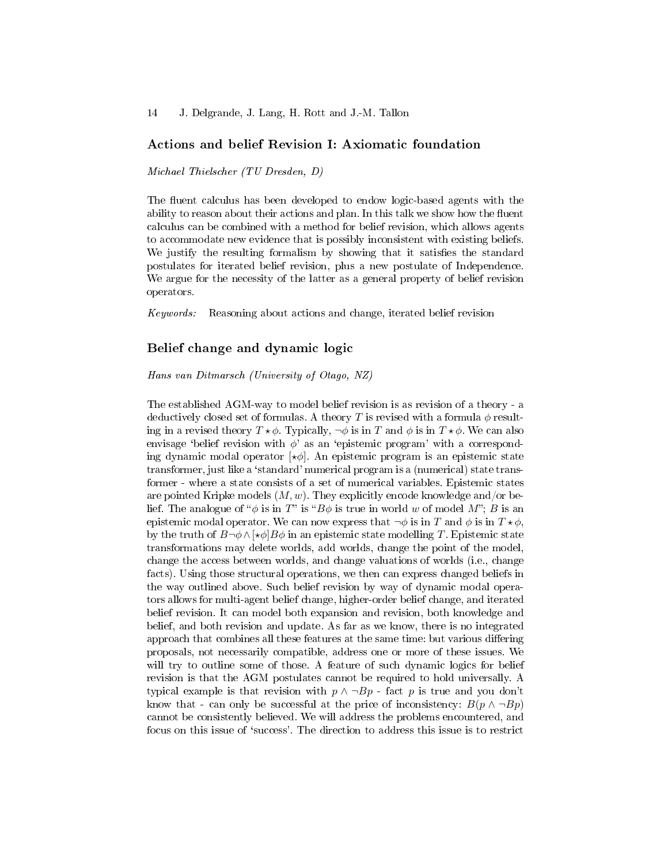## Actions and belief Revision I: Axiomatic foundation

Michael Thielscher (TU Dresden, D)

The fluent calculus has been developed to endow logic-based agents with the ability to reason about their actions and plan. In this talk we show how the fluent calculus can be combined with a method for belief revision, which allows agents to accommodate new evidence that is possibly inconsistent with existing beliefs. We justify the resulting formalism by showing that it satisfies the standard postulates for iterated belief revision, plus a new postulate of Independence. We argue for the necessity of the latter as a general property of belief revision operators.

Keywords: Reasoning about actions and change, iterated belief revision

#### Belief change and dynamic logic

Hans van Ditmarsch (University of Otago, NZ)

The established AGM-way to model belief revision is as revision of a theory - a deductively closed set of formulas. A theory T is revised with a formula  $\phi$  resulting in a revised theory  $T \star \phi$ . Typically,  $\neg \phi$  is in T and  $\phi$  is in  $T \star \phi$ . We can also envisage 'belief revision with  $\phi$ ' as an 'epistemic program' with a corresponding dynamic modal operator  $\lbrack * \phi \rbrack$ . An epistemic program is an epistemic state transformer, just like a 'standard' numerical program is a (numerical) state transformer - where a state consists of a set of numerical variables. Epistemic states are pointed Kripke models  $(M, w)$ . They explicitly encode knowledge and/or belief. The analogue of " $\phi$  is in T" is " $B\phi$  is true in world w of model M"; B is an epistemic modal operator. We can now express that  $\neg \phi$  is in T and  $\phi$  is in  $T \star \phi$ , by the truth of  $B\neg \phi \wedge [\star \phi]B\phi$  in an epistemic state modelling T. Epistemic state transformations may delete worlds, add worlds, change the point of the model, change the access between worlds, and change valuations of worlds (i.e., change facts). Using those structural operations, we then can express changed beliefs in the way outlined above. Such belief revision by way of dynamic modal operators allows for multi-agent belief change, higher-order belief change, and iterated belief revision. It can model both expansion and revision, both knowledge and belief, and both revision and update. As far as we know, there is no integrated approach that combines all these features at the same time: but various differing proposals, not necessarily compatible, address one or more of these issues. We will try to outline some of those. A feature of such dynamic logics for belief revision is that the AGM postulates cannot be required to hold universally. A typical example is that revision with  $p \wedge \neg Bp$  - fact p is true and you don't know that - can only be successful at the price of inconsistency:  $B(p \wedge \neg Bp)$ cannot be consistently believed. We will address the problems encountered, and focus on this issue of `success'. The direction to address this issue is to restrict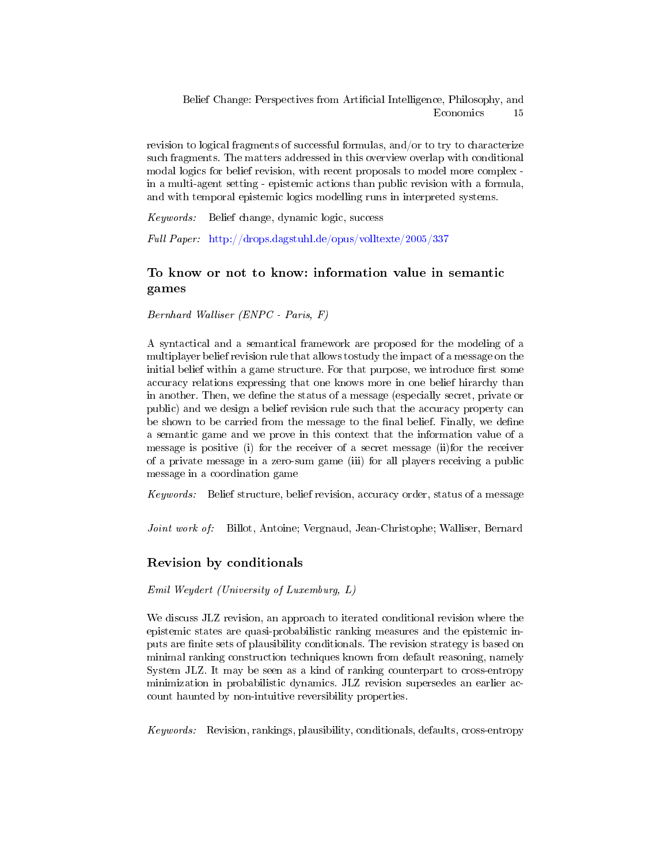revision to logical fragments of successful formulas, and/or to try to characterize such fragments. The matters addressed in this overview overlap with conditional modal logics for belief revision, with recent proposals to model more complex in a multi-agent setting - epistemic actions than public revision with a formula, and with temporal epistemic logics modelling runs in interpreted systems.

Keywords: Belief change, dynamic logic, success

Full Paper: <http://drops.dagstuhl.de/opus/volltexte/2005/337>

# To know or not to know: information value in semantic games

Bernhard Walliser (ENPC - Paris, F)

A syntactical and a semantical framework are proposed for the modeling of a multiplayer belief revision rule that allows tostudy the impact of a message on the initial belief within a game structure. For that purpose, we introduce first some accuracy relations expressing that one knows more in one belief hirarchy than in another. Then, we define the status of a message (especially secret, private or public) and we design a belief revision rule such that the accuracy property can be shown to be carried from the message to the final belief. Finally, we define a semantic game and we prove in this context that the information value of a message is positive (i) for the receiver of a secret message (ii)for the receiver of a private message in a zero-sum game (iii) for all players receiving a public message in a coordination game

Keywords: Belief structure, belief revision, accuracy order, status of a message

Joint work of: Billot, Antoine; Vergnaud, Jean-Christophe; Walliser, Bernard

# Revision by conditionals

Emil Weydert (University of Luxemburg, L)

We discuss JLZ revision, an approach to iterated conditional revision where the epistemic states are quasi-probabilistic ranking measures and the epistemic inputs are nite sets of plausibility conditionals. The revision strategy is based on minimal ranking construction techniques known from default reasoning, namely System JLZ. It may be seen as a kind of ranking counterpart to cross-entropy minimization in probabilistic dynamics. JLZ revision supersedes an earlier account haunted by non-intuitive reversibility properties.

Keywords: Revision, rankings, plausibility, conditionals, defaults, cross-entropy